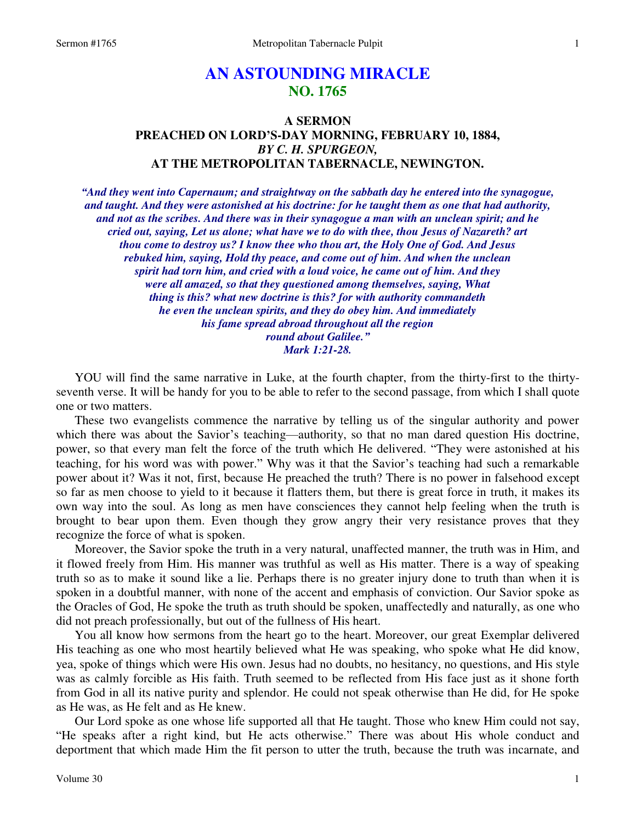# **AN ASTOUNDING MIRACLE NO. 1765**

# **A SERMON PREACHED ON LORD'S-DAY MORNING, FEBRUARY 10, 1884,**  *BY C. H. SPURGEON,*  **AT THE METROPOLITAN TABERNACLE, NEWINGTON.**

*"And they went into Capernaum; and straightway on the sabbath day he entered into the synagogue, and taught. And they were astonished at his doctrine: for he taught them as one that had authority, and not as the scribes. And there was in their synagogue a man with an unclean spirit; and he cried out, saying, Let us alone; what have we to do with thee, thou Jesus of Nazareth? art thou come to destroy us? I know thee who thou art, the Holy One of God. And Jesus rebuked him, saying, Hold thy peace, and come out of him. And when the unclean spirit had torn him, and cried with a loud voice, he came out of him. And they were all amazed, so that they questioned among themselves, saying, What thing is this? what new doctrine is this? for with authority commandeth he even the unclean spirits, and they do obey him. And immediately his fame spread abroad throughout all the region round about Galilee." Mark 1:21-28.* 

YOU will find the same narrative in Luke, at the fourth chapter, from the thirty-first to the thirtyseventh verse. It will be handy for you to be able to refer to the second passage, from which I shall quote one or two matters.

 These two evangelists commence the narrative by telling us of the singular authority and power which there was about the Savior's teaching—authority, so that no man dared question His doctrine, power, so that every man felt the force of the truth which He delivered. "They were astonished at his teaching, for his word was with power." Why was it that the Savior's teaching had such a remarkable power about it? Was it not, first, because He preached the truth? There is no power in falsehood except so far as men choose to yield to it because it flatters them, but there is great force in truth, it makes its own way into the soul. As long as men have consciences they cannot help feeling when the truth is brought to bear upon them. Even though they grow angry their very resistance proves that they recognize the force of what is spoken.

 Moreover, the Savior spoke the truth in a very natural, unaffected manner, the truth was in Him, and it flowed freely from Him. His manner was truthful as well as His matter. There is a way of speaking truth so as to make it sound like a lie. Perhaps there is no greater injury done to truth than when it is spoken in a doubtful manner, with none of the accent and emphasis of conviction. Our Savior spoke as the Oracles of God, He spoke the truth as truth should be spoken, unaffectedly and naturally, as one who did not preach professionally, but out of the fullness of His heart.

 You all know how sermons from the heart go to the heart. Moreover, our great Exemplar delivered His teaching as one who most heartily believed what He was speaking, who spoke what He did know, yea, spoke of things which were His own. Jesus had no doubts, no hesitancy, no questions, and His style was as calmly forcible as His faith. Truth seemed to be reflected from His face just as it shone forth from God in all its native purity and splendor. He could not speak otherwise than He did, for He spoke as He was, as He felt and as He knew.

 Our Lord spoke as one whose life supported all that He taught. Those who knew Him could not say, "He speaks after a right kind, but He acts otherwise." There was about His whole conduct and deportment that which made Him the fit person to utter the truth, because the truth was incarnate, and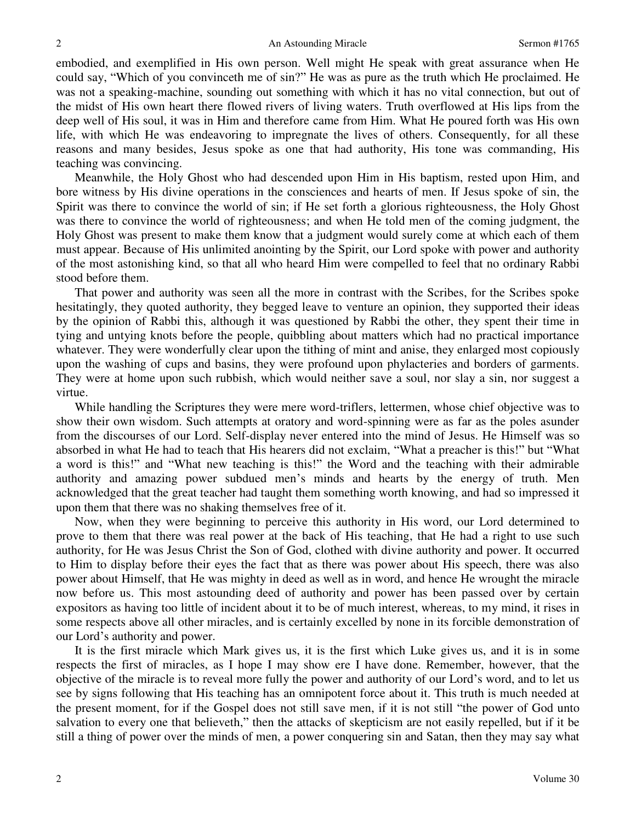embodied, and exemplified in His own person. Well might He speak with great assurance when He could say, "Which of you convinceth me of sin?" He was as pure as the truth which He proclaimed. He was not a speaking-machine, sounding out something with which it has no vital connection, but out of the midst of His own heart there flowed rivers of living waters. Truth overflowed at His lips from the deep well of His soul, it was in Him and therefore came from Him. What He poured forth was His own life, with which He was endeavoring to impregnate the lives of others. Consequently, for all these reasons and many besides, Jesus spoke as one that had authority, His tone was commanding, His teaching was convincing.

 Meanwhile, the Holy Ghost who had descended upon Him in His baptism, rested upon Him, and bore witness by His divine operations in the consciences and hearts of men. If Jesus spoke of sin, the Spirit was there to convince the world of sin; if He set forth a glorious righteousness, the Holy Ghost was there to convince the world of righteousness; and when He told men of the coming judgment, the Holy Ghost was present to make them know that a judgment would surely come at which each of them must appear. Because of His unlimited anointing by the Spirit, our Lord spoke with power and authority of the most astonishing kind, so that all who heard Him were compelled to feel that no ordinary Rabbi stood before them.

 That power and authority was seen all the more in contrast with the Scribes, for the Scribes spoke hesitatingly, they quoted authority, they begged leave to venture an opinion, they supported their ideas by the opinion of Rabbi this, although it was questioned by Rabbi the other, they spent their time in tying and untying knots before the people, quibbling about matters which had no practical importance whatever. They were wonderfully clear upon the tithing of mint and anise, they enlarged most copiously upon the washing of cups and basins, they were profound upon phylacteries and borders of garments. They were at home upon such rubbish, which would neither save a soul, nor slay a sin, nor suggest a virtue.

 While handling the Scriptures they were mere word-triflers, lettermen, whose chief objective was to show their own wisdom. Such attempts at oratory and word-spinning were as far as the poles asunder from the discourses of our Lord. Self-display never entered into the mind of Jesus. He Himself was so absorbed in what He had to teach that His hearers did not exclaim, "What a preacher is this!" but "What a word is this!" and "What new teaching is this!" the Word and the teaching with their admirable authority and amazing power subdued men's minds and hearts by the energy of truth. Men acknowledged that the great teacher had taught them something worth knowing, and had so impressed it upon them that there was no shaking themselves free of it.

 Now, when they were beginning to perceive this authority in His word, our Lord determined to prove to them that there was real power at the back of His teaching, that He had a right to use such authority, for He was Jesus Christ the Son of God, clothed with divine authority and power. It occurred to Him to display before their eyes the fact that as there was power about His speech, there was also power about Himself, that He was mighty in deed as well as in word, and hence He wrought the miracle now before us. This most astounding deed of authority and power has been passed over by certain expositors as having too little of incident about it to be of much interest, whereas, to my mind, it rises in some respects above all other miracles, and is certainly excelled by none in its forcible demonstration of our Lord's authority and power.

 It is the first miracle which Mark gives us, it is the first which Luke gives us, and it is in some respects the first of miracles, as I hope I may show ere I have done. Remember, however, that the objective of the miracle is to reveal more fully the power and authority of our Lord's word, and to let us see by signs following that His teaching has an omnipotent force about it. This truth is much needed at the present moment, for if the Gospel does not still save men, if it is not still "the power of God unto salvation to every one that believeth," then the attacks of skepticism are not easily repelled, but if it be still a thing of power over the minds of men, a power conquering sin and Satan, then they may say what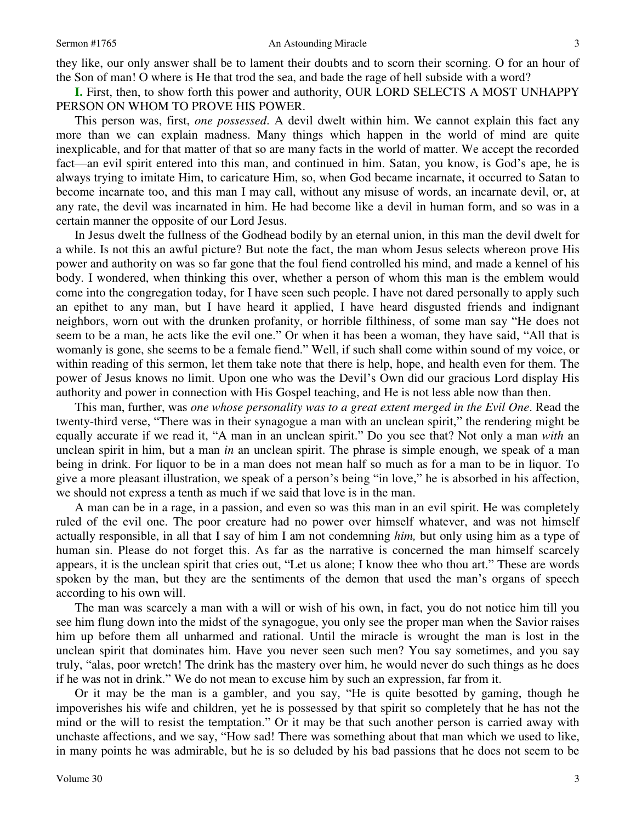they like, our only answer shall be to lament their doubts and to scorn their scorning. O for an hour of the Son of man! O where is He that trod the sea, and bade the rage of hell subside with a word?

**I.** First, then, to show forth this power and authority, OUR LORD SELECTS A MOST UNHAPPY PERSON ON WHOM TO PROVE HIS POWER.

 This person was, first, *one possessed*. A devil dwelt within him. We cannot explain this fact any more than we can explain madness. Many things which happen in the world of mind are quite inexplicable, and for that matter of that so are many facts in the world of matter. We accept the recorded fact—an evil spirit entered into this man, and continued in him. Satan, you know, is God's ape, he is always trying to imitate Him, to caricature Him, so, when God became incarnate, it occurred to Satan to become incarnate too, and this man I may call, without any misuse of words, an incarnate devil, or, at any rate, the devil was incarnated in him. He had become like a devil in human form, and so was in a certain manner the opposite of our Lord Jesus.

 In Jesus dwelt the fullness of the Godhead bodily by an eternal union, in this man the devil dwelt for a while. Is not this an awful picture? But note the fact, the man whom Jesus selects whereon prove His power and authority on was so far gone that the foul fiend controlled his mind, and made a kennel of his body. I wondered, when thinking this over, whether a person of whom this man is the emblem would come into the congregation today, for I have seen such people. I have not dared personally to apply such an epithet to any man, but I have heard it applied, I have heard disgusted friends and indignant neighbors, worn out with the drunken profanity, or horrible filthiness, of some man say "He does not seem to be a man, he acts like the evil one." Or when it has been a woman, they have said, "All that is womanly is gone, she seems to be a female fiend." Well, if such shall come within sound of my voice, or within reading of this sermon, let them take note that there is help, hope, and health even for them. The power of Jesus knows no limit. Upon one who was the Devil's Own did our gracious Lord display His authority and power in connection with His Gospel teaching, and He is not less able now than then.

 This man, further, was *one whose personality was to a great extent merged in the Evil One*. Read the twenty-third verse, "There was in their synagogue a man with an unclean spirit," the rendering might be equally accurate if we read it, "A man in an unclean spirit." Do you see that? Not only a man *with* an unclean spirit in him, but a man *in* an unclean spirit. The phrase is simple enough, we speak of a man being in drink. For liquor to be in a man does not mean half so much as for a man to be in liquor. To give a more pleasant illustration, we speak of a person's being "in love," he is absorbed in his affection, we should not express a tenth as much if we said that love is in the man.

 A man can be in a rage, in a passion, and even so was this man in an evil spirit. He was completely ruled of the evil one. The poor creature had no power over himself whatever, and was not himself actually responsible, in all that I say of him I am not condemning *him,* but only using him as a type of human sin. Please do not forget this. As far as the narrative is concerned the man himself scarcely appears, it is the unclean spirit that cries out, "Let us alone; I know thee who thou art." These are words spoken by the man, but they are the sentiments of the demon that used the man's organs of speech according to his own will.

 The man was scarcely a man with a will or wish of his own, in fact, you do not notice him till you see him flung down into the midst of the synagogue, you only see the proper man when the Savior raises him up before them all unharmed and rational. Until the miracle is wrought the man is lost in the unclean spirit that dominates him. Have you never seen such men? You say sometimes, and you say truly, "alas, poor wretch! The drink has the mastery over him, he would never do such things as he does if he was not in drink." We do not mean to excuse him by such an expression, far from it.

 Or it may be the man is a gambler, and you say, "He is quite besotted by gaming, though he impoverishes his wife and children, yet he is possessed by that spirit so completely that he has not the mind or the will to resist the temptation." Or it may be that such another person is carried away with unchaste affections, and we say, "How sad! There was something about that man which we used to like, in many points he was admirable, but he is so deluded by his bad passions that he does not seem to be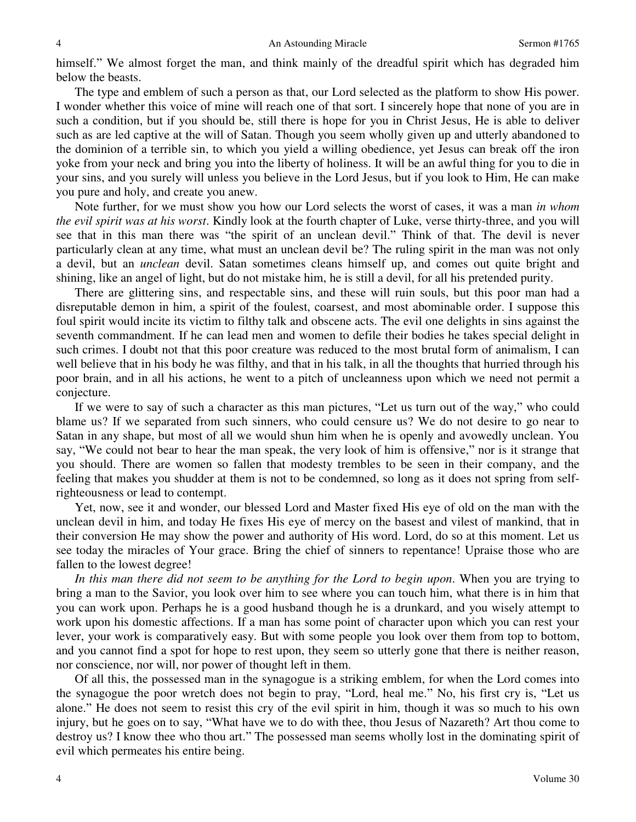himself." We almost forget the man, and think mainly of the dreadful spirit which has degraded him below the beasts.

 The type and emblem of such a person as that, our Lord selected as the platform to show His power. I wonder whether this voice of mine will reach one of that sort. I sincerely hope that none of you are in such a condition, but if you should be, still there is hope for you in Christ Jesus, He is able to deliver such as are led captive at the will of Satan. Though you seem wholly given up and utterly abandoned to the dominion of a terrible sin, to which you yield a willing obedience, yet Jesus can break off the iron yoke from your neck and bring you into the liberty of holiness. It will be an awful thing for you to die in your sins, and you surely will unless you believe in the Lord Jesus, but if you look to Him, He can make you pure and holy, and create you anew.

 Note further, for we must show you how our Lord selects the worst of cases, it was a man *in whom the evil spirit was at his worst*. Kindly look at the fourth chapter of Luke, verse thirty-three, and you will see that in this man there was "the spirit of an unclean devil." Think of that. The devil is never particularly clean at any time, what must an unclean devil be? The ruling spirit in the man was not only a devil, but an *unclean* devil. Satan sometimes cleans himself up, and comes out quite bright and shining, like an angel of light, but do not mistake him, he is still a devil, for all his pretended purity.

 There are glittering sins, and respectable sins, and these will ruin souls, but this poor man had a disreputable demon in him, a spirit of the foulest, coarsest, and most abominable order. I suppose this foul spirit would incite its victim to filthy talk and obscene acts. The evil one delights in sins against the seventh commandment. If he can lead men and women to defile their bodies he takes special delight in such crimes. I doubt not that this poor creature was reduced to the most brutal form of animalism, I can well believe that in his body he was filthy, and that in his talk, in all the thoughts that hurried through his poor brain, and in all his actions, he went to a pitch of uncleanness upon which we need not permit a conjecture.

 If we were to say of such a character as this man pictures, "Let us turn out of the way," who could blame us? If we separated from such sinners, who could censure us? We do not desire to go near to Satan in any shape, but most of all we would shun him when he is openly and avowedly unclean. You say, "We could not bear to hear the man speak, the very look of him is offensive," nor is it strange that you should. There are women so fallen that modesty trembles to be seen in their company, and the feeling that makes you shudder at them is not to be condemned, so long as it does not spring from selfrighteousness or lead to contempt.

 Yet, now, see it and wonder, our blessed Lord and Master fixed His eye of old on the man with the unclean devil in him, and today He fixes His eye of mercy on the basest and vilest of mankind, that in their conversion He may show the power and authority of His word. Lord, do so at this moment. Let us see today the miracles of Your grace. Bring the chief of sinners to repentance! Upraise those who are fallen to the lowest degree!

*In this man there did not seem to be anything for the Lord to begin upon*. When you are trying to bring a man to the Savior, you look over him to see where you can touch him, what there is in him that you can work upon. Perhaps he is a good husband though he is a drunkard, and you wisely attempt to work upon his domestic affections. If a man has some point of character upon which you can rest your lever, your work is comparatively easy. But with some people you look over them from top to bottom, and you cannot find a spot for hope to rest upon, they seem so utterly gone that there is neither reason, nor conscience, nor will, nor power of thought left in them.

 Of all this, the possessed man in the synagogue is a striking emblem, for when the Lord comes into the synagogue the poor wretch does not begin to pray, "Lord, heal me." No, his first cry is, "Let us alone." He does not seem to resist this cry of the evil spirit in him, though it was so much to his own injury, but he goes on to say, "What have we to do with thee, thou Jesus of Nazareth? Art thou come to destroy us? I know thee who thou art." The possessed man seems wholly lost in the dominating spirit of evil which permeates his entire being.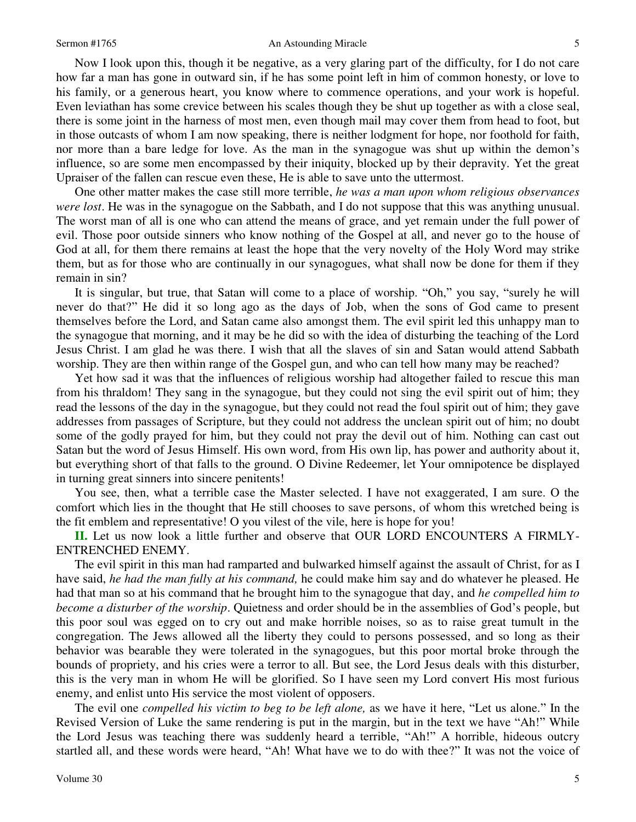#### Sermon #1765 **An Astounding Miracle** 5

Now I look upon this, though it be negative, as a very glaring part of the difficulty, for I do not care how far a man has gone in outward sin, if he has some point left in him of common honesty, or love to his family, or a generous heart, you know where to commence operations, and your work is hopeful. Even leviathan has some crevice between his scales though they be shut up together as with a close seal, there is some joint in the harness of most men, even though mail may cover them from head to foot, but in those outcasts of whom I am now speaking, there is neither lodgment for hope, nor foothold for faith, nor more than a bare ledge for love. As the man in the synagogue was shut up within the demon's influence, so are some men encompassed by their iniquity, blocked up by their depravity. Yet the great Upraiser of the fallen can rescue even these, He is able to save unto the uttermost.

 One other matter makes the case still more terrible, *he was a man upon whom religious observances were lost*. He was in the synagogue on the Sabbath, and I do not suppose that this was anything unusual. The worst man of all is one who can attend the means of grace, and yet remain under the full power of evil. Those poor outside sinners who know nothing of the Gospel at all, and never go to the house of God at all, for them there remains at least the hope that the very novelty of the Holy Word may strike them, but as for those who are continually in our synagogues, what shall now be done for them if they remain in sin?

 It is singular, but true, that Satan will come to a place of worship. "Oh," you say, "surely he will never do that?" He did it so long ago as the days of Job, when the sons of God came to present themselves before the Lord, and Satan came also amongst them. The evil spirit led this unhappy man to the synagogue that morning, and it may be he did so with the idea of disturbing the teaching of the Lord Jesus Christ. I am glad he was there. I wish that all the slaves of sin and Satan would attend Sabbath worship. They are then within range of the Gospel gun, and who can tell how many may be reached?

 Yet how sad it was that the influences of religious worship had altogether failed to rescue this man from his thraldom! They sang in the synagogue, but they could not sing the evil spirit out of him; they read the lessons of the day in the synagogue, but they could not read the foul spirit out of him; they gave addresses from passages of Scripture, but they could not address the unclean spirit out of him; no doubt some of the godly prayed for him, but they could not pray the devil out of him. Nothing can cast out Satan but the word of Jesus Himself. His own word, from His own lip, has power and authority about it, but everything short of that falls to the ground. O Divine Redeemer, let Your omnipotence be displayed in turning great sinners into sincere penitents!

 You see, then, what a terrible case the Master selected. I have not exaggerated, I am sure. O the comfort which lies in the thought that He still chooses to save persons, of whom this wretched being is the fit emblem and representative! O you vilest of the vile, here is hope for you!

**II.** Let us now look a little further and observe that OUR LORD ENCOUNTERS A FIRMLY-ENTRENCHED ENEMY.

 The evil spirit in this man had ramparted and bulwarked himself against the assault of Christ, for as I have said, *he had the man fully at his command,* he could make him say and do whatever he pleased. He had that man so at his command that he brought him to the synagogue that day, and *he compelled him to become a disturber of the worship*. Quietness and order should be in the assemblies of God's people, but this poor soul was egged on to cry out and make horrible noises, so as to raise great tumult in the congregation. The Jews allowed all the liberty they could to persons possessed, and so long as their behavior was bearable they were tolerated in the synagogues, but this poor mortal broke through the bounds of propriety, and his cries were a terror to all. But see, the Lord Jesus deals with this disturber, this is the very man in whom He will be glorified. So I have seen my Lord convert His most furious enemy, and enlist unto His service the most violent of opposers.

 The evil one *compelled his victim to beg to be left alone,* as we have it here, "Let us alone." In the Revised Version of Luke the same rendering is put in the margin, but in the text we have "Ah!" While the Lord Jesus was teaching there was suddenly heard a terrible, "Ah!" A horrible, hideous outcry startled all, and these words were heard, "Ah! What have we to do with thee?" It was not the voice of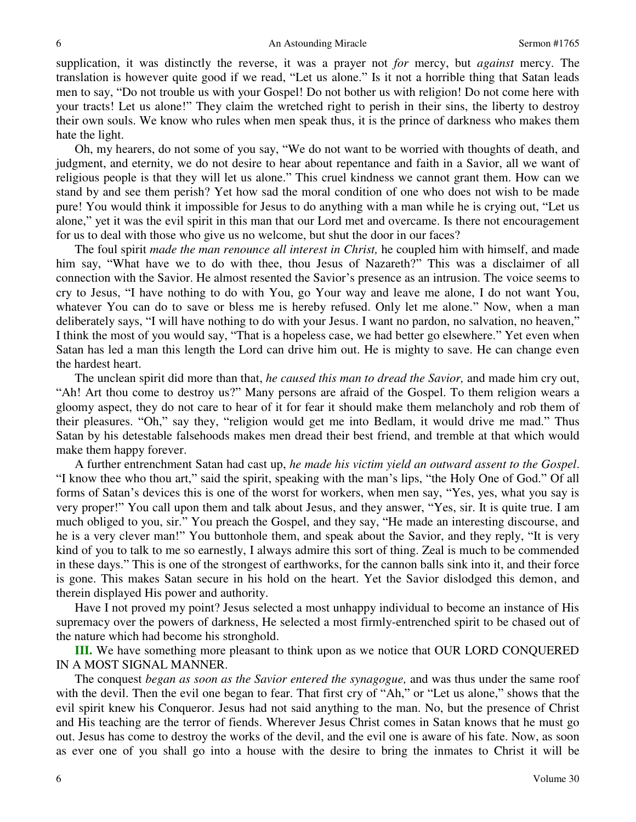supplication, it was distinctly the reverse, it was a prayer not *for* mercy, but *against* mercy. The translation is however quite good if we read, "Let us alone." Is it not a horrible thing that Satan leads men to say, "Do not trouble us with your Gospel! Do not bother us with religion! Do not come here with your tracts! Let us alone!" They claim the wretched right to perish in their sins, the liberty to destroy their own souls. We know who rules when men speak thus, it is the prince of darkness who makes them hate the light.

 Oh, my hearers, do not some of you say, "We do not want to be worried with thoughts of death, and judgment, and eternity, we do not desire to hear about repentance and faith in a Savior, all we want of religious people is that they will let us alone." This cruel kindness we cannot grant them. How can we stand by and see them perish? Yet how sad the moral condition of one who does not wish to be made pure! You would think it impossible for Jesus to do anything with a man while he is crying out, "Let us alone," yet it was the evil spirit in this man that our Lord met and overcame. Is there not encouragement for us to deal with those who give us no welcome, but shut the door in our faces?

 The foul spirit *made the man renounce all interest in Christ,* he coupled him with himself, and made him say, "What have we to do with thee, thou Jesus of Nazareth?" This was a disclaimer of all connection with the Savior. He almost resented the Savior's presence as an intrusion. The voice seems to cry to Jesus, "I have nothing to do with You, go Your way and leave me alone, I do not want You, whatever You can do to save or bless me is hereby refused. Only let me alone." Now, when a man deliberately says, "I will have nothing to do with your Jesus. I want no pardon, no salvation, no heaven," I think the most of you would say, "That is a hopeless case, we had better go elsewhere." Yet even when Satan has led a man this length the Lord can drive him out. He is mighty to save. He can change even the hardest heart.

 The unclean spirit did more than that, *he caused this man to dread the Savior,* and made him cry out, "Ah! Art thou come to destroy us?" Many persons are afraid of the Gospel. To them religion wears a gloomy aspect, they do not care to hear of it for fear it should make them melancholy and rob them of their pleasures. "Oh," say they, "religion would get me into Bedlam, it would drive me mad." Thus Satan by his detestable falsehoods makes men dread their best friend, and tremble at that which would make them happy forever.

 A further entrenchment Satan had cast up, *he made his victim yield an outward assent to the Gospel*. "I know thee who thou art," said the spirit, speaking with the man's lips, "the Holy One of God." Of all forms of Satan's devices this is one of the worst for workers, when men say, "Yes, yes, what you say is very proper!" You call upon them and talk about Jesus, and they answer, "Yes, sir. It is quite true. I am much obliged to you, sir." You preach the Gospel, and they say, "He made an interesting discourse, and he is a very clever man!" You buttonhole them, and speak about the Savior, and they reply, "It is very kind of you to talk to me so earnestly, I always admire this sort of thing. Zeal is much to be commended in these days." This is one of the strongest of earthworks, for the cannon balls sink into it, and their force is gone. This makes Satan secure in his hold on the heart. Yet the Savior dislodged this demon, and therein displayed His power and authority.

 Have I not proved my point? Jesus selected a most unhappy individual to become an instance of His supremacy over the powers of darkness, He selected a most firmly-entrenched spirit to be chased out of the nature which had become his stronghold.

**III.** We have something more pleasant to think upon as we notice that OUR LORD CONQUERED IN A MOST SIGNAL MANNER.

 The conquest *began as soon as the Savior entered the synagogue,* and was thus under the same roof with the devil. Then the evil one began to fear. That first cry of "Ah," or "Let us alone," shows that the evil spirit knew his Conqueror. Jesus had not said anything to the man. No, but the presence of Christ and His teaching are the terror of fiends. Wherever Jesus Christ comes in Satan knows that he must go out. Jesus has come to destroy the works of the devil, and the evil one is aware of his fate. Now, as soon as ever one of you shall go into a house with the desire to bring the inmates to Christ it will be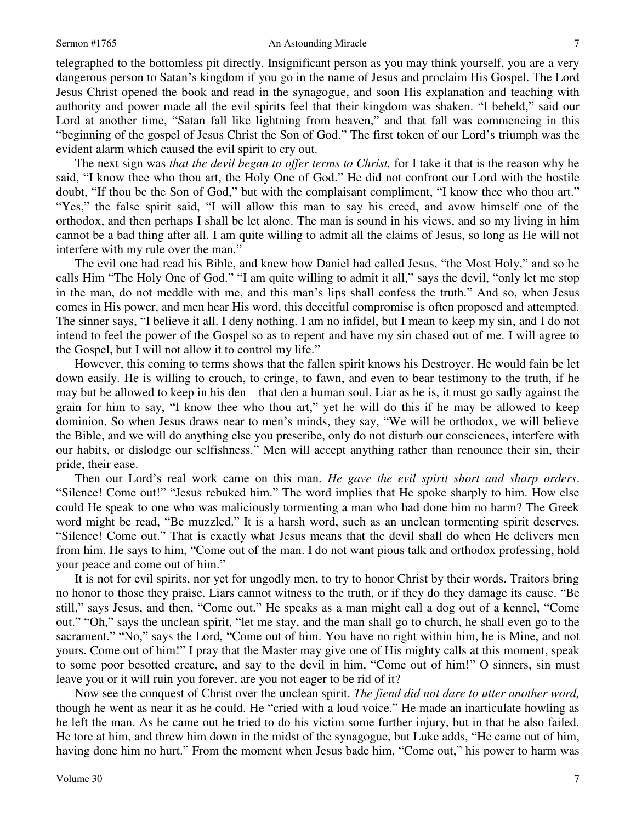### Sermon #1765 **An Astounding Miracle** 7

telegraphed to the bottomless pit directly. Insignificant person as you may think yourself, you are a very dangerous person to Satan's kingdom if you go in the name of Jesus and proclaim His Gospel. The Lord Jesus Christ opened the book and read in the synagogue, and soon His explanation and teaching with authority and power made all the evil spirits feel that their kingdom was shaken. "I beheld," said our Lord at another time, "Satan fall like lightning from heaven," and that fall was commencing in this "beginning of the gospel of Jesus Christ the Son of God." The first token of our Lord's triumph was the evident alarm which caused the evil spirit to cry out.

 The next sign was *that the devil began to offer terms to Christ,* for I take it that is the reason why he said, "I know thee who thou art, the Holy One of God." He did not confront our Lord with the hostile doubt, "If thou be the Son of God," but with the complaisant compliment, "I know thee who thou art." "Yes," the false spirit said, "I will allow this man to say his creed, and avow himself one of the orthodox, and then perhaps I shall be let alone. The man is sound in his views, and so my living in him cannot be a bad thing after all. I am quite willing to admit all the claims of Jesus, so long as He will not interfere with my rule over the man."

 The evil one had read his Bible, and knew how Daniel had called Jesus, "the Most Holy," and so he calls Him "The Holy One of God." "I am quite willing to admit it all," says the devil, "only let me stop in the man, do not meddle with me, and this man's lips shall confess the truth." And so, when Jesus comes in His power, and men hear His word, this deceitful compromise is often proposed and attempted. The sinner says, "I believe it all. I deny nothing. I am no infidel, but I mean to keep my sin, and I do not intend to feel the power of the Gospel so as to repent and have my sin chased out of me. I will agree to the Gospel, but I will not allow it to control my life."

 However, this coming to terms shows that the fallen spirit knows his Destroyer. He would fain be let down easily. He is willing to crouch, to cringe, to fawn, and even to bear testimony to the truth, if he may but be allowed to keep in his den—that den a human soul. Liar as he is, it must go sadly against the grain for him to say, "I know thee who thou art," yet he will do this if he may be allowed to keep dominion. So when Jesus draws near to men's minds, they say, "We will be orthodox, we will believe the Bible, and we will do anything else you prescribe, only do not disturb our consciences, interfere with our habits, or dislodge our selfishness." Men will accept anything rather than renounce their sin, their pride, their ease.

 Then our Lord's real work came on this man. *He gave the evil spirit short and sharp orders*. "Silence! Come out!" "Jesus rebuked him." The word implies that He spoke sharply to him. How else could He speak to one who was maliciously tormenting a man who had done him no harm? The Greek word might be read, "Be muzzled." It is a harsh word, such as an unclean tormenting spirit deserves. "Silence! Come out." That is exactly what Jesus means that the devil shall do when He delivers men from him. He says to him, "Come out of the man. I do not want pious talk and orthodox professing, hold your peace and come out of him."

 It is not for evil spirits, nor yet for ungodly men, to try to honor Christ by their words. Traitors bring no honor to those they praise. Liars cannot witness to the truth, or if they do they damage its cause. "Be still," says Jesus, and then, "Come out." He speaks as a man might call a dog out of a kennel, "Come out." "Oh," says the unclean spirit, "let me stay, and the man shall go to church, he shall even go to the sacrament." "No," says the Lord, "Come out of him. You have no right within him, he is Mine, and not yours. Come out of him!" I pray that the Master may give one of His mighty calls at this moment, speak to some poor besotted creature, and say to the devil in him, "Come out of him!" O sinners, sin must leave you or it will ruin you forever, are you not eager to be rid of it?

 Now see the conquest of Christ over the unclean spirit. *The fiend did not dare to utter another word,* though he went as near it as he could. He "cried with a loud voice." He made an inarticulate howling as he left the man. As he came out he tried to do his victim some further injury, but in that he also failed. He tore at him, and threw him down in the midst of the synagogue, but Luke adds, "He came out of him, having done him no hurt." From the moment when Jesus bade him, "Come out," his power to harm was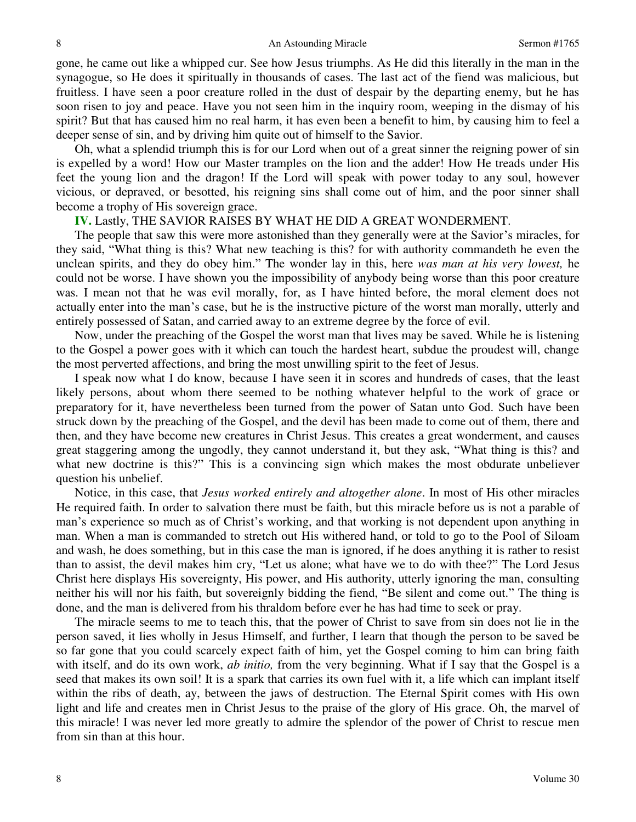gone, he came out like a whipped cur. See how Jesus triumphs. As He did this literally in the man in the synagogue, so He does it spiritually in thousands of cases. The last act of the fiend was malicious, but fruitless. I have seen a poor creature rolled in the dust of despair by the departing enemy, but he has soon risen to joy and peace. Have you not seen him in the inquiry room, weeping in the dismay of his spirit? But that has caused him no real harm, it has even been a benefit to him, by causing him to feel a deeper sense of sin, and by driving him quite out of himself to the Savior.

 Oh, what a splendid triumph this is for our Lord when out of a great sinner the reigning power of sin is expelled by a word! How our Master tramples on the lion and the adder! How He treads under His feet the young lion and the dragon! If the Lord will speak with power today to any soul, however vicious, or depraved, or besotted, his reigning sins shall come out of him, and the poor sinner shall become a trophy of His sovereign grace.

# **IV.** Lastly, THE SAVIOR RAISES BY WHAT HE DID A GREAT WONDERMENT.

 The people that saw this were more astonished than they generally were at the Savior's miracles, for they said, "What thing is this? What new teaching is this? for with authority commandeth he even the unclean spirits, and they do obey him." The wonder lay in this, here *was man at his very lowest,* he could not be worse. I have shown you the impossibility of anybody being worse than this poor creature was. I mean not that he was evil morally, for, as I have hinted before, the moral element does not actually enter into the man's case, but he is the instructive picture of the worst man morally, utterly and entirely possessed of Satan, and carried away to an extreme degree by the force of evil.

 Now, under the preaching of the Gospel the worst man that lives may be saved. While he is listening to the Gospel a power goes with it which can touch the hardest heart, subdue the proudest will, change the most perverted affections, and bring the most unwilling spirit to the feet of Jesus.

 I speak now what I do know, because I have seen it in scores and hundreds of cases, that the least likely persons, about whom there seemed to be nothing whatever helpful to the work of grace or preparatory for it, have nevertheless been turned from the power of Satan unto God. Such have been struck down by the preaching of the Gospel, and the devil has been made to come out of them, there and then, and they have become new creatures in Christ Jesus. This creates a great wonderment, and causes great staggering among the ungodly, they cannot understand it, but they ask, "What thing is this? and what new doctrine is this?" This is a convincing sign which makes the most obdurate unbeliever question his unbelief.

 Notice, in this case, that *Jesus worked entirely and altogether alone*. In most of His other miracles He required faith. In order to salvation there must be faith, but this miracle before us is not a parable of man's experience so much as of Christ's working, and that working is not dependent upon anything in man. When a man is commanded to stretch out His withered hand, or told to go to the Pool of Siloam and wash, he does something, but in this case the man is ignored, if he does anything it is rather to resist than to assist, the devil makes him cry, "Let us alone; what have we to do with thee?" The Lord Jesus Christ here displays His sovereignty, His power, and His authority, utterly ignoring the man, consulting neither his will nor his faith, but sovereignly bidding the fiend, "Be silent and come out." The thing is done, and the man is delivered from his thraldom before ever he has had time to seek or pray.

 The miracle seems to me to teach this, that the power of Christ to save from sin does not lie in the person saved, it lies wholly in Jesus Himself, and further, I learn that though the person to be saved be so far gone that you could scarcely expect faith of him, yet the Gospel coming to him can bring faith with itself, and do its own work, *ab initio,* from the very beginning. What if I say that the Gospel is a seed that makes its own soil! It is a spark that carries its own fuel with it, a life which can implant itself within the ribs of death, ay, between the jaws of destruction. The Eternal Spirit comes with His own light and life and creates men in Christ Jesus to the praise of the glory of His grace. Oh, the marvel of this miracle! I was never led more greatly to admire the splendor of the power of Christ to rescue men from sin than at this hour.